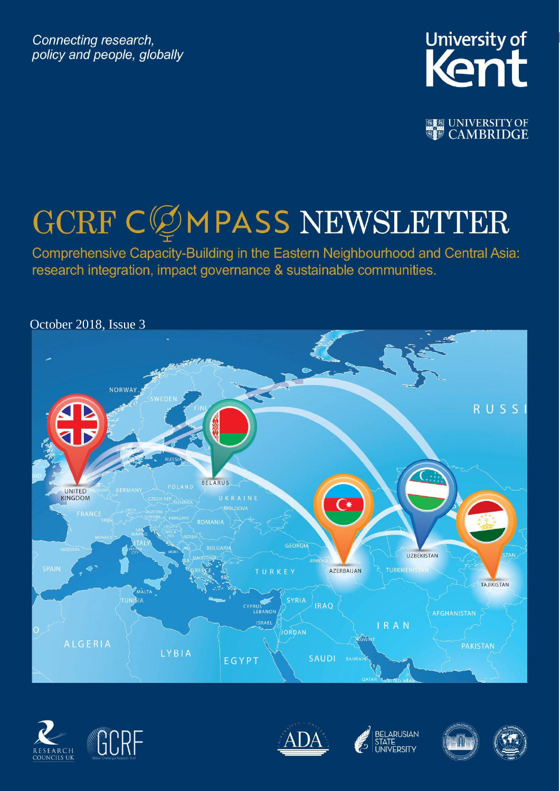Connecting research, policy and people, globally



**图图 UNIVERSITY OF** 

# GCRF CØMPASS NEWSLETTER

Comprehensive Capacity-Building in the Eastern Neighbourhood and Central Asia: research integration, impact governance & sustainable communities.











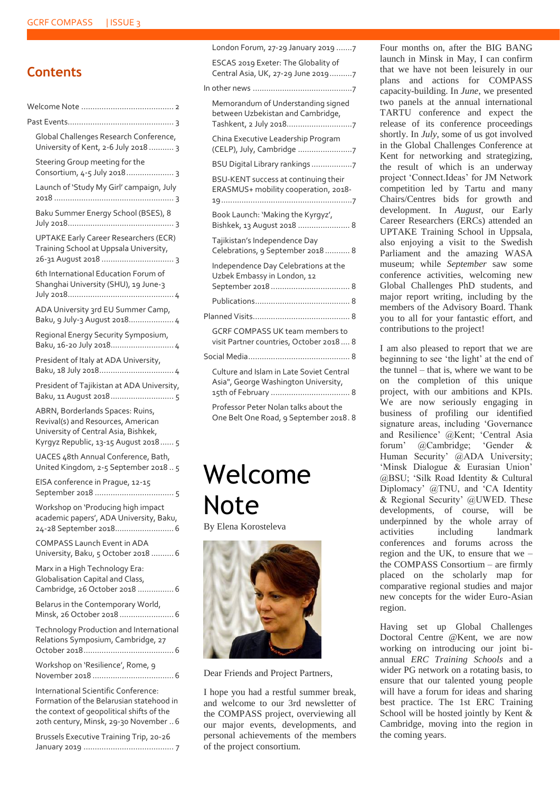### **Contents**

| Global Challenges Research Conference,<br>University of Kent, 2-6 July 2018  3                                                                                          |
|-------------------------------------------------------------------------------------------------------------------------------------------------------------------------|
| Steering Group meeting for the<br>Consortium, 4-5 July 2018 3                                                                                                           |
| Launch of 'Study My Girl' campaign, July                                                                                                                                |
| Baku Summer Energy School (BSES), 8                                                                                                                                     |
| <b>UPTAKE Early Career Researchers (ECR)</b><br>Training School at Uppsala University,                                                                                  |
| 6th International Education Forum of<br>Shanghai University (SHU), 19 June-3                                                                                            |
| ADA University 3rd EU Summer Camp,<br>Baku, 9 July-3 August 2018 4                                                                                                      |
| Regional Energy Security Symposium,                                                                                                                                     |
| President of Italy at ADA University,                                                                                                                                   |
| President of Tajikistan at ADA University,<br>Baku, 11 August 2018 5                                                                                                    |
| ABRN, Borderlands Spaces: Ruins,<br>Revival(s) and Resources, American<br>University of Central Asia, Bishkek,<br>Kyrgyz Republic, 13-15 August 2018 5                  |
| UACES 48th Annual Conference, Bath,<br>United Kingdom, 2-5 September 2018  5                                                                                            |
| EISA conference in Prague, 12-15                                                                                                                                        |
| Workshop on 'Producing high impact<br>academic papers', ADA University, Baku,<br>24-28 September 2018 6                                                                 |
| <b>COMPASS Launch Event in ADA</b><br>University, Baku, 5 October 2018  6                                                                                               |
| Marx in a High Technology Era:<br>Globalisation Capital and Class,<br>Cambridge, 26 October 2018  6                                                                     |
| Belarus in the Contemporary World,<br>Minsk, 26 October 2018  6                                                                                                         |
| Technology Production and International<br>Relations Symposium, Cambridge, 27                                                                                           |
| Workshop on 'Resilience', Rome, 9                                                                                                                                       |
| International Scientific Conference:<br>Formation of the Belarusian statehood in<br>the context of geopolitical shifts of the<br>20th century, Minsk, 29-30 November  6 |
| Brussels Executive Training Trip, 20-26                                                                                                                                 |

| London Forum, 27-29 January 2019 7                                                |  |
|-----------------------------------------------------------------------------------|--|
| ESCAS 2019 Exeter: The Globality of<br>Central Asia, UK, 27-29 June 20197         |  |
|                                                                                   |  |
| Memorandum of Understanding signed<br>between Uzbekistan and Cambridge,           |  |
| China Executive Leadership Program<br>(CELP), July, Cambridge 7                   |  |
| BSU Digital Library rankings7                                                     |  |
| BSU-KENT success at continuing their<br>ERASMUS+ mobility cooperation, 2018-      |  |
| Book Launch: 'Making the Kyrgyz',<br>Bishkek, 13 August 2018  8                   |  |
| Tajikistan's Independence Day<br>Celebrations, 9 September 2018 8                 |  |
| Independence Day Celebrations at the<br>Uzbek Embassy in London, 12               |  |
|                                                                                   |  |
|                                                                                   |  |
| <b>GCRF COMPASS UK team members to</b><br>visit Partner countries, October 2018 8 |  |
|                                                                                   |  |
| Culture and Islam in Late Soviet Central<br>Asia", George Washington University,  |  |

15th of February [...................................](#page-7-7) 8 [Professor Peter Nolan talks about the](#page-7-8) 

[One Belt One Road, 9 September 2018.](#page-7-8) 8

### <span id="page-1-0"></span>Welcome Note

By Elena Korosteleva



Dear Friends and Project Partners,

I hope you had a restful summer break, and welcome to our 3rd newsletter of the COMPASS project, overviewing all our major events, developments, and personal achievements of the members of the project consortium.

Four months on, after the BIG BANG launch in Minsk in May, I can confirm that we have not been leisurely in our plans and actions for COMPASS capacity-building. In *June*, we presented two panels at the annual international TARTU conference and expect the release of its conference proceedings shortly. In *July*, some of us got involved in the Global Challenges Conference at Kent for networking and strategizing, the result of which is an underway project 'Connect.Ideas' for JM Network competition led by Tartu and many Chairs/Centres bids for growth and development. In *August*, our Early Career Researchers (ERCs) attended an UPTAKE Training School in Uppsala, also enjoying a visit to the Swedish Parliament and the amazing WASA museum; while *September* saw some conference activities, welcoming new Global Challenges PhD students, and major report writing, including by the members of the Advisory Board. Thank you to all for your fantastic effort, and contributions to the project!

I am also pleased to report that we are beginning to see 'the light' at the end of the tunnel – that is, where we want to be on the completion of this unique project, with our ambitions and KPIs. We are now seriously engaging in business of profiling our identified signature areas, including 'Governance and Resilience' @Kent; 'Central Asia forum' @Cambridge; 'Gender & Human Security' @ADA University; 'Minsk Dialogue & Eurasian Union' @BSU; 'Silk Road Identity & Cultural Diplomacy' @TNU, and 'CA Identity & Regional Security' @UWED. These developments, of course, will be underpinned by the whole array of activities including landmark conferences and forums across the region and the UK, to ensure that we – the COMPASS Consortium – are firmly placed on the scholarly map for comparative regional studies and major new concepts for the wider Euro-Asian region.

Having set up Global Challenges Doctoral Centre @Kent, we are now working on introducing our joint biannual *ERC Training Schools* and a wider PG network on a rotating basis, to ensure that our talented young people will have a forum for ideas and sharing best practice. The 1st ERC Training School will be hosted jointly by Kent & Cambridge, moving into the region in the coming years.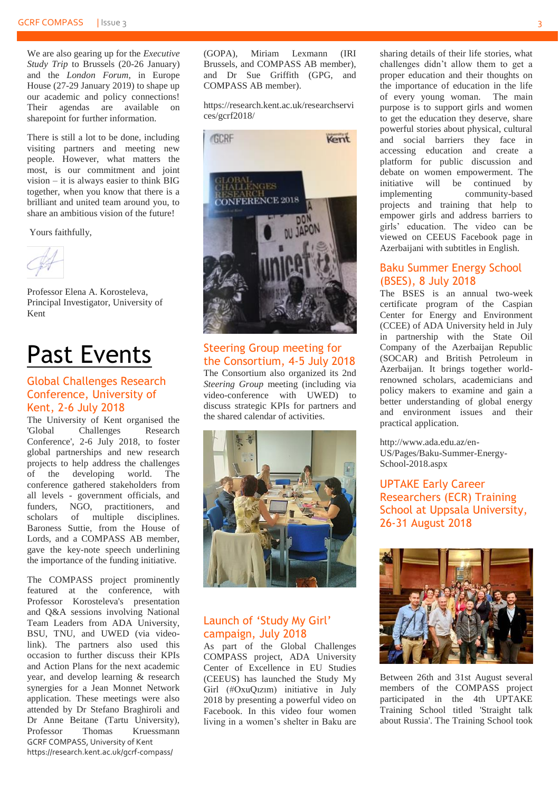We are also gearing up for the *Executive Study Trip* to Brussels (20-26 January) and the *London Forum*, in Europe House (27-29 January 2019) to shape up our academic and policy connections! Their agendas are available on sharepoint for further information.

There is still a lot to be done, including visiting partners and meeting new people. However, what matters the most, is our commitment and joint vision – it is always easier to think BIG together, when you know that there is a brilliant and united team around you, to share an ambitious vision of the future!

Yours faithfully,

Professor Elena A. Korosteleva, Principal Investigator, University of Kent

### <span id="page-2-0"></span>Past Events

#### <span id="page-2-1"></span>Global Challenges Research Conference, University of Kent, 2-6 July 2018

The University of Kent organised the 'Global Challenges Research Conference', 2-6 July 2018, to foster global partnerships and new research projects to help address the challenges of the developing world. The conference gathered stakeholders from all levels - government officials, and funders, NGO, practitioners, and scholars of multiple disciplines. Baroness Suttie, from the House of Lords, and a COMPASS AB member, gave the key-note speech underlining the importance of the funding initiative.

GCRF COMPASS, University of Kent https://research.kent.ac.uk/gcrf-compass/ The COMPASS project prominently featured at the conference, with Professor Korosteleva's presentation and Q&A sessions involving National Team Leaders from ADA University, BSU, TNU, and UWED (via videolink). The partners also used this occasion to further discuss their KPIs and Action Plans for the next academic year, and develop learning & research synergies for a Jean Monnet Network application. These meetings were also attended by Dr Stefano Braghiroli and Dr Anne Beitane (Tartu University), Professor Thomas Kruessmann (GOPA), Miriam Lexmann (IRI Brussels, and COMPASS AB member), and Dr Sue Griffith (GPG, and COMPASS AB member).

[https://research.kent.ac.uk/researchservi](https://research.kent.ac.uk/researchservices/gcrf2018/) [ces/gcrf2018/](https://research.kent.ac.uk/researchservices/gcrf2018/)



#### <span id="page-2-2"></span>Steering Group meeting for the Consortium, 4-5 July 2018

The Consortium also organized its 2nd *Steering Group* meeting (including via video-conference with UWED) to discuss strategic KPIs for partners and the shared calendar of activities.



#### <span id="page-2-3"></span>Launch of 'Study My Girl' campaign, July 2018

As part of the Global Challenges COMPASS project, ADA University Center of Excellence in EU Studies (CEEUS) has launched the Study My Girl (#OxuQızım) initiative in July 2018 by presenting a powerful video on Facebook. In this video four women living in a women's shelter in Baku are

sharing details of their life stories, what challenges didn't allow them to get a proper education and their thoughts on the importance of education in the life of every young woman. The main purpose is to support girls and women to get the education they deserve, share powerful stories about physical, cultural and social barriers they face in accessing education and create a platform for public discussion and debate on women empowerment. The initiative will be continued by implementing community-based projects and training that help to empower girls and address barriers to girls' education. The video can be viewed on CEEUS Facebook page in Azerbaijani with subtitles in English.

#### <span id="page-2-4"></span>Baku Summer Energy School (BSES), 8 July 2018

The BSES is an annual two-week certificate program of the Caspian Center for Energy and Environment (CCEE) of ADA University held in July in partnership with the State Oil Company of the Azerbaijan Republic (SOCAR) and British Petroleum in Azerbaijan. It brings together worldrenowned scholars, academicians and policy makers to examine and gain a better understanding of global energy and environment issues and their practical application.

[http://www.ada.edu.az/en-](http://www.ada.edu.az/en-US/Pages/Baku-Summer-Energy-School-2018.aspx)[US/Pages/Baku-Summer-Energy-](http://www.ada.edu.az/en-US/Pages/Baku-Summer-Energy-School-2018.aspx)[School-2018.aspx](http://www.ada.edu.az/en-US/Pages/Baku-Summer-Energy-School-2018.aspx)

#### <span id="page-2-5"></span>UPTAKE Early Career Researchers (ECR) Training School at Uppsala University, 26-31 August 2018



Between 26th and 31st August several members of the COMPASS project participated in the 4th UPTAKE Training School titled 'Straight talk about Russia'. The Training School took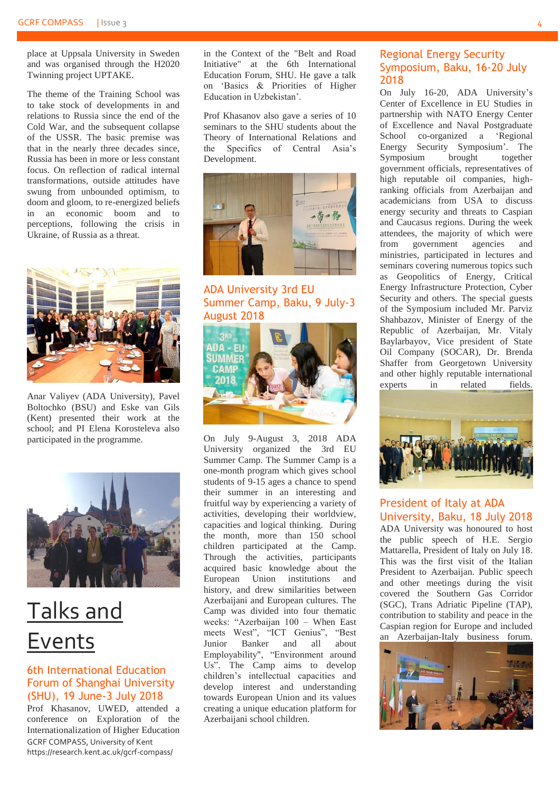place at Uppsala University in Sweden and was organised through the H2020 Twinning project UPTAKE.

The theme of the Training School was to take stock of developments in and relations to Russia since the end of the Cold War, and the subsequent collapse of the USSR. The basic premise was that in the nearly three decades since, Russia has been in more or less constant focus. On reflection of radical internal transformations, outside attitudes have swung from unbounded optimism, to doom and gloom, to re-energized beliefs in an economic boom and to perceptions, following the crisis in Ukraine, of Russia as a threat.



Anar Valiyev (ADA University), Pavel Boltochko (BSU) and Eske van Gils (Kent) presented their work at the school; and PI Elena Korosteleva also participated in the programme.



### Talks and Events

#### <span id="page-3-0"></span>6th International Education Forum of Shanghai University (SHU), 19 June-3 July 2018

GCRF COMPASS, University of Kent https://research.kent.ac.uk/gcrf-compass/ Prof Khasanov, UWED, attended a conference on Exploration of the Internationalization of Higher Education in the Context of the "Belt and Road Initiative" at the 6th International Education Forum, SHU. He gave a talk on 'Basics & Priorities of Higher Education in Uzbekistan'.

Prof Khasanov also gave a series of 10 seminars to the SHU students about the Theory of International Relations and the Specifics of Central Asia's Development.



ADA University 3rd EU Summer Camp, Baku, 9 July-3 August 2018

<span id="page-3-1"></span>

On July 9-August 3, 2018 ADA University organized the 3rd EU Summer Camp. The Summer Camp is a one-month program which gives school students of 9-15 ages a chance to spend their summer in an interesting and fruitful way by experiencing a variety of activities, developing their worldview, capacities and logical thinking. During the month, more than 150 school children participated at the Camp. Through the activities, participants acquired basic knowledge about the European Union institutions and history, and drew similarities between Azerbaijani and European cultures. The Camp was divided into four thematic weeks: "Azerbaijan 100 – When East meets West", "ICT Genius", "Best Junior Banker and all about Employability", "Environment around Us". The Camp aims to develop children's intellectual capacities and develop interest and understanding towards European Union and its values creating a unique education platform for Azerbaijani school children.

#### <span id="page-3-2"></span>Regional Energy Security Symposium, Baku, 16-20 July 2018

On July 16-20, ADA University's Center of Excellence in EU Studies in partnership with NATO Energy Center of Excellence and Naval Postgraduate School co-organized a 'Regional Energy Security Symposium'. The Symposium brought together government officials, representatives of high reputable oil companies, highranking officials from Azerbaijan and academicians from USA to discuss energy security and threats to Caspian and Caucasus regions. During the week attendees, the majority of which were<br>from government agencies and government agencies and ministries, participated in lectures and seminars covering numerous topics such as Geopolitics of Energy, Critical Energy Infrastructure Protection, Cyber Security and others. The special guests of the Symposium included Mr. Parviz Shahbazov, Minister of Energy of the Republic of Azerbaijan, Mr. Vitaly Baylarbayov, Vice president of State Oil Company (SOCAR), Dr. Brenda Shaffer from Georgetown University and other highly reputable international experts in related fields.



#### <span id="page-3-3"></span>President of Italy at ADA University, Baku, 18 July 2018

ADA University was honoured to host the public speech of H.E. Sergio Mattarella, President of Italy on July 18. This was the first visit of the Italian President to Azerbaijan. Public speech and other meetings during the visit covered the Southern Gas Corridor (SGC), Trans Adriatic Pipeline (TAP), contribution to stability and peace in the Caspian region for Europe and included an Azerbaijan-Italy business forum.

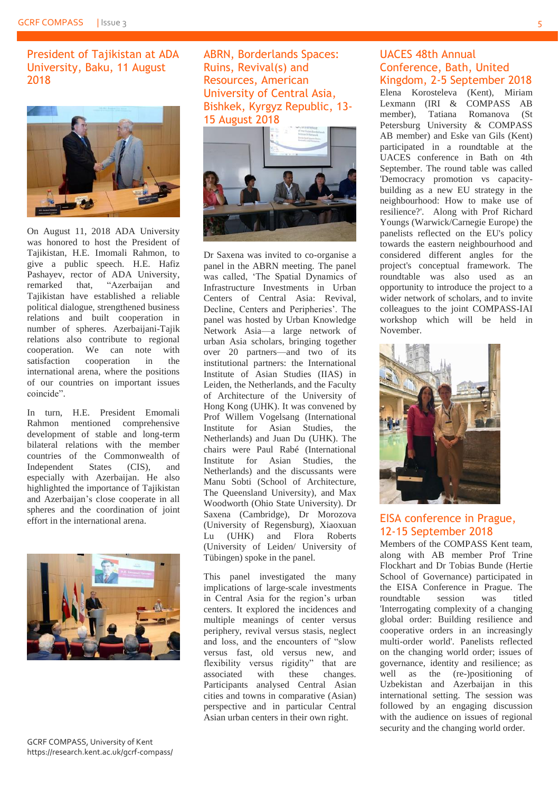<span id="page-4-0"></span>President of Tajikistan at ADA University, Baku, 11 August 2018



On August 11, 2018 ADA University was honored to host the President of Tajikistan, H.E. Imomali Rahmon, to give a public speech. H.E. Hafiz Pashayev, rector of ADA University, remarked that, "Azerbaijan and Tajikistan have established a reliable political dialogue, strengthened business relations and built cooperation in number of spheres. Azerbaijani-Tajik relations also contribute to regional cooperation. We can note with satisfaction cooperation in the international arena, where the positions of our countries on important issues coincide".

In turn, H.E. President Emomali Rahmon mentioned comprehensive development of stable and long-term bilateral relations with the member countries of the Commonwealth of Independent States (CIS), and especially with Azerbaijan. He also highlighted the importance of Tajikistan and Azerbaijan's close cooperate in all spheres and the coordination of joint effort in the international arena.



GCRF COMPASS, University of Kent https://research.kent.ac.uk/gcrf-compass/ <span id="page-4-1"></span>ABRN, Borderlands Spaces: Ruins, Revival(s) and Resources, American University of Central Asia, Bishkek, Kyrgyz Republic, 13- 15 August 2018



Dr Saxena was invited to co-organise a panel in the ABRN meeting. The panel was called, 'The Spatial Dynamics of Infrastructure Investments in Urban Centers of Central Asia: Revival, Decline, Centers and Peripheries'. The panel was hosted by Urban Knowledge Network Asia—a large network of urban Asia scholars, bringing together over 20 partners—and two of its institutional partners: the International Institute of Asian Studies (IIAS) in Leiden, the Netherlands, and the Faculty of Architecture of the University of Hong Kong (UHK). It was convened by Prof Willem Vogelsang (International Institute for Asian Studies, the Netherlands) and Juan Du (UHK). The chairs were Paul Rabé (International Institute for Asian Studies, the Netherlands) and the discussants were Manu Sobti (School of Architecture, The Queensland University), and Max Woodworth (Ohio State University). Dr Saxena (Cambridge), Dr Morozova (University of Regensburg), Xiaoxuan Lu (UHK) and Flora Roberts (University of Leiden/ University of Tübingen) spoke in the panel.

This panel investigated the many implications of large-scale investments in Central Asia for the region's urban centers. It explored the incidences and multiple meanings of center versus periphery, revival versus stasis, neglect and loss, and the encounters of "slow versus fast, old versus new, and flexibility versus rigidity" that are associated with these changes. Participants analysed Central Asian cities and towns in comparative (Asian) perspective and in particular Central Asian urban centers in their own right.

#### <span id="page-4-2"></span>UACES 48th Annual Conference, Bath, United Kingdom, 2-5 September 2018

Elena Korosteleva (Kent), Miriam Lexmann (IRI & COMPASS AB member), Tatiana Romanova (St Petersburg University & COMPASS AB member) and Eske van Gils (Kent) participated in a roundtable at the UACES conference in Bath on 4th September. The round table was called 'Democracy promotion vs capacitybuilding as a new EU strategy in the neighbourhood: How to make use of resilience?'. Along with Prof Richard Youngs (Warwick/Carnegie Europe) the panelists reflected on the EU's policy towards the eastern neighbourhood and considered different angles for the project's conceptual framework. The roundtable was also used as an opportunity to introduce the project to a wider network of scholars, and to invite colleagues to the joint COMPASS-IAI workshop which will be held in November.



#### <span id="page-4-3"></span>EISA conference in Prague, 12-15 September 2018

Members of the COMPASS Kent team, along with AB member Prof Trine Flockhart and Dr Tobias Bunde (Hertie School of Governance) participated in the EISA Conference in Prague. The roundtable session was titled 'Interrogating complexity of a changing global order: Building resilience and cooperative orders in an increasingly multi-order world'. Panelists reflected on the changing world order; issues of governance, identity and resilience; as well as the (re-)positioning of Uzbekistan and Azerbaijan in this international setting. The session was followed by an engaging discussion with the audience on issues of regional security and the changing world order.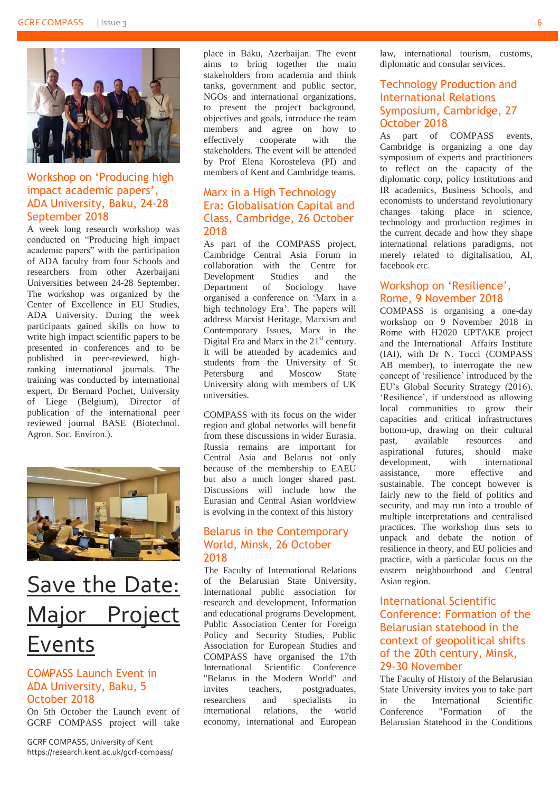

#### <span id="page-5-0"></span>Workshop on 'Producing high impact academic papers', ADA University, Baku, 24-28 September 2018

A week long research workshop was conducted on "Producing high impact academic papers" with the participation of ADA faculty from four Schools and researchers from other Azerbaijani Universities between 24-28 September. The workshop was organized by the Center of Excellence in EU Studies, ADA University. During the week participants gained skills on how to write high impact scientific papers to be presented in conferences and to be published in peer-reviewed, highranking international journals. The training was conducted by international expert, Dr Bernard Pochet, University of Liege (Belgium), Director of publication of the international peer reviewed journal BASE (Biotechnol. Agron. Soc. Environ.).



### Save the Date: Major Project Events

#### <span id="page-5-1"></span>COMPASS Launch Event in ADA University, Baku, 5 October 2018

On 5th October the Launch event of GCRF COMPASS project will take

GCRF COMPASS, University of Kent https://research.kent.ac.uk/gcrf-compass/ place in Baku, Azerbaijan. The event aims to bring together the main stakeholders from academia and think tanks, government and public sector, NGOs and international organizations, to present the project background, objectives and goals, introduce the team members and agree on how to effectively cooperate with the stakeholders. The event will be attended by Prof Elena Korosteleva (PI) and members of Kent and Cambridge teams.

#### <span id="page-5-2"></span>Marx in a High Technology Era: Globalisation Capital and Class, Cambridge, 26 October 2018

As part of the COMPASS project, Cambridge Central Asia Forum in collaboration with the Centre for Development Studies and the Department of Sociology have organised a conference on 'Marx in a high technology Era'. The papers will address Marxist Heritage, Marxism and Contemporary Issues, Marx in the Digital Era and Marx in the  $21<sup>st</sup>$  century. It will be attended by academics and students from the University of St Petersburg and Moscow State University along with members of UK universities.

COMPASS with its focus on the wider region and global networks will benefit from these discussions in wider Eurasia. Russia remains are important for Central Asia and Belarus not only because of the membership to EAEU but also a much longer shared past. Discussions will include how the Eurasian and Central Asian worldview is evolving in the context of this history

#### <span id="page-5-3"></span>Belarus in the Contemporary World, Minsk, 26 October 2018

The Faculty of International Relations of the Belarusian State University, International public association for research and development, Information and educational programs Development, Public Association Center for Foreign Policy and Security Studies, Public Association for European Studies and COMPASS have organised the 17th International Scientific Conference "Belarus in the Modern World" and invites teachers, postgraduates, researchers and specialists in international relations, the world economy, international and European law, international tourism, customs, diplomatic and consular services.

#### <span id="page-5-4"></span>Technology Production and International Relations Symposium, Cambridge, 27 October 2018

As part of COMPASS events, Cambridge is organizing a one day symposium of experts and practitioners to reflect on the capacity of the diplomatic corp, policy Institutions and IR academics, Business Schools, and economists to understand revolutionary changes taking place in science, technology and production regimes in the current decade and how they shape international relations paradigms, not merely related to digitalisation, AI, facebook etc.

#### <span id="page-5-5"></span>Workshop on 'Resilience', Rome, 9 November 2018

COMPASS is organising a one-day workshop on 9 November 2018 in Rome with H2020 UPTAKE project and the International Affairs Institute (IAI), with Dr N. Tocci (COMPASS AB member), to interrogate the new concept of 'resilience' introduced by the EU's Global Security Strategy (2016). 'Resilience', if understood as allowing local communities to grow their capacities and critical infrastructures bottom-up, drawing on their cultural past, available resources and aspirational futures, should make development, with international assistance, more effective and sustainable. The concept however is fairly new to the field of politics and security, and may run into a trouble of multiple interpretations and centralised practices. The workshop thus sets to unpack and debate the notion of resilience in theory, and EU policies and practice, with a particular focus on the eastern neighbourhood and Central Asian region.

#### <span id="page-5-6"></span>International Scientific Conference: Formation of the Belarusian statehood in the context of geopolitical shifts of the 20th century, Minsk, 29-30 November

The Faculty of History of the Belarusian State University invites you to take part in the International Scientific Conference "Formation of the Belarusian Statehood in the Conditions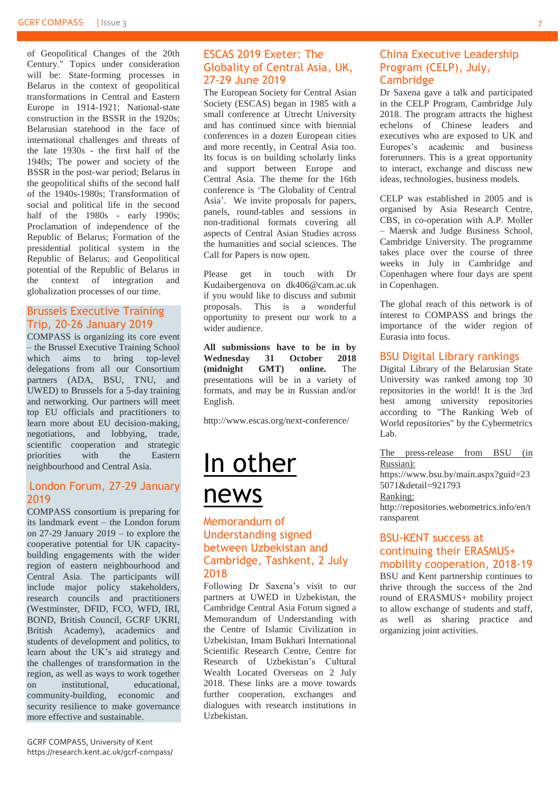of Geopolitical Changes of the 20th Century." Topics under consideration will be: State-forming processes in Belarus in the context of geopolitical transformations in Central and Eastern Europe in 1914-1921; National-state construction in the BSSR in the 1920s; Belarusian statehood in the face of international challenges and threats of the late 1930s - the first half of the 1940s; The power and society of the BSSR in the post-war period; Belarus in the geopolitical shifts of the second half of the 1940s-1980s; Transformation of social and political life in the second half of the 1980s - early 1990s; Proclamation of independence of the Republic of Belarus; Formation of the presidential political system in the Republic of Belarus; and Geopolitical potential of the Republic of Belarus in the context of integration and globalization processes of our time.

#### <span id="page-6-0"></span>Brussels Executive Training Trip, 20-26 January 2019

COMPASS is organizing its core event – the Brussel Executive Training School which aims to bring top-level delegations from all our Consortium partners (ADA, BSU, TNU, and UWED) to Brussels for a 5-day training and networking. Our partners will meet top EU officials and practitioners to learn more about EU decision-making, negotiations, and lobbying, trade, scientific cooperation and strategic priorities with the Eastern neighbourhood and Central Asia.

#### <span id="page-6-1"></span>London Forum, 27-29 January 2019

COMPASS consortium is preparing for its landmark event – the London forum on 27-29 January 2019 – to explore the cooperative potential for UK capacitybuilding engagements with the wider region of eastern neighbourhood and Central Asia. The participants will include major policy stakeholders, research councils and practitioners (Westminster, DFID, FCO, WFD, IRI, BOND, British Council, GCRF UKRI, British Academy), academics and students of development and politics, to learn about the UK's aid strategy and the challenges of transformation in the region, as well as ways to work together on institutional, educational, community-building, economic and security resilience to make governance more effective and sustainable.

#### <span id="page-6-2"></span>ESCAS 2019 Exeter: The Globality of Central Asia, UK, 27-29 June 2019

The European Society for Central Asian Society (ESCAS) began in 1985 with a small conference at Utrecht University and has continued since with biennial conferences in a dozen European cities and more recently, in Central Asia too. Its focus is on building scholarly links and support between Europe and Central Asia. The theme for the 16th conference is 'The Globality of Central Asia'. We invite proposals for papers, panels, round-tables and sessions in non-traditional formats covering all aspects of Central Asian Studies across the humanities and social sciences. The Call for Papers is now open.

Please get in touch with Dr Kudaibergenova on [dk406@cam.ac.uk](mailto:dk406@cam.ac.uk) if you would like to discuss and submit proposals. This is a wonderful opportunity to present our work to a wider audience.

**All submissions have to be in by Wednesday 31 October 2018 (midnight GMT) online.** The presentations will be in a variety of formats, and may be in Russian and/or English.

<http://www.escas.org/next-conference/>

### <span id="page-6-3"></span>In other news

#### <span id="page-6-4"></span>Memorandum of Understanding signed between Uzbekistan and Cambridge, Tashkent, 2 July 2018

Following Dr Saxena's visit to our partners at UWED in Uzbekistan, the Cambridge Central Asia Forum signed a Memorandum of Understanding with the Centre of Islamic Civilization in Uzbekistan, Imam Bukhari International Scientific Research Centre, Centre for Research of Uzbekistan's Cultural Wealth Located Overseas on 2 July 2018. These links are a move towards further cooperation, exchanges and dialogues with research institutions in Uzbekistan.

#### <span id="page-6-5"></span>China Executive Leadership Program (CELP), July, **Cambridge**

Dr Saxena gave a talk and participated in the CELP Program, Cambridge July 2018. The program attracts the highest echelons of Chinese leaders and executives who are exposed to UK and Europes's academic and business forerunners. This is a great opportunity to interact, exchange and discuss new ideas, technologies, business models.

CELP was established in 2005 and is organised by Asia Research Centre, CBS, in co-operation with A.P. Moller – Maersk and Judge Business School, Cambridge University. The programme takes place over the course of three weeks in July in Cambridge and Copenhagen where four days are spent in Copenhagen.

The global reach of this network is of interest to COMPASS and brings the importance of the wider region of Eurasia into focus.

#### <span id="page-6-6"></span>BSU Digital Library rankings

Digital Library of the Belarusian State University was ranked among top 30 repositories in the world! It is the 3rd best among university repositories according to "The Ranking Web of World repositories" by the Cybermetrics Lab.

The press-release from BSU (in Russian): [https://www.bsu.by/main.aspx?guid=23](https://www.bsu.by/main.aspx?guid=235071&detail=921793) [5071&detail=921793](https://www.bsu.by/main.aspx?guid=235071&detail=921793) Ranking: [http://repositories.webometrics.info/en/t](http://repositories.webometrics.info/en/transparent) [ransparent](http://repositories.webometrics.info/en/transparent)

#### <span id="page-6-7"></span>BSU-KENT success at continuing their ERASMUS+ mobility cooperation, 2018-19

BSU and Kent partnership continues to thrive through the success of the 2nd round of ERASMUS+ mobility project to allow exchange of students and staff, as well as sharing practice and organizing joint activities.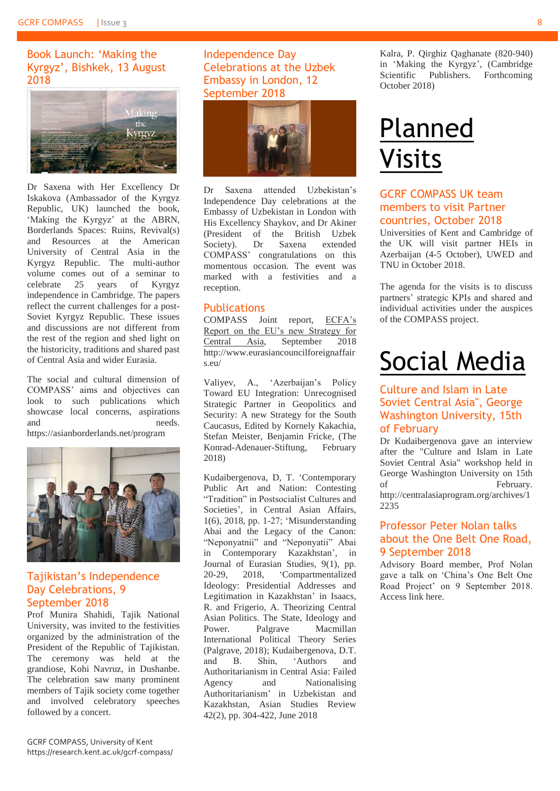#### <span id="page-7-0"></span>Book Launch: 'Making the Kyrgyz', Bishkek, 13 August 2018



Dr Saxena with Her Excellency Dr Iskakova (Ambassador of the Kyrgyz Republic, UK) launched the book, 'Making the Kyrgyz' at the ABRN, Borderlands Spaces: Ruins, Revival(s) and Resources at the American University of Central Asia in the Kyrgyz Republic. The multi-author volume comes out of a seminar to celebrate 25 years of Kyrgyz independence in Cambridge. The papers reflect the current challenges for a post-Soviet Kyrgyz Republic. These issues and discussions are not different from the rest of the region and shed light on the historicity, traditions and shared past of Central Asia and wider Eurasia.

The social and cultural dimension of COMPASS' aims and objectives can look to such publications which showcase local concerns, aspirations and needs.

<https://asianborderlands.net/program>



#### <span id="page-7-1"></span>Tajikistan's Independence Day Celebrations, 9 September 2018

Prof Munira Shahidi, Tajik National University, was invited to the festivities organized by the administration of the President of the Republic of Tajikistan. The ceremony was held at the grandiose, Kohi Navruz, in Dushanbe. The celebration saw many prominent members of Tajik society come together and involved celebratory speeches followed by a concert.

#### <span id="page-7-2"></span>Independence Day Celebrations at the Uzbek Embassy in London, 12 September 2018



Dr Saxena attended Uzbekistan's Independence Day celebrations at the Embassy of Uzbekistan in London with His Excellency Shaykov, and Dr Akiner (President of the British Uzbek Society). Dr Saxena extended COMPASS' congratulations on this momentous occasion. The event was marked with a festivities and a reception.

#### <span id="page-7-3"></span>**Publications**

COMPASS Joint report, ECFA's Report on the EU's new Strategy for Central Asia, September 2018 [http://www.eurasiancouncilforeignaffair](http://www.eurasiancouncilforeignaffairs.eu/) [s.eu/](http://www.eurasiancouncilforeignaffairs.eu/)

Valiyev, A., 'Azerbaijan's Policy Toward EU Integration: Unrecognised Strategic Partner in Geopolitics and Security: A new Strategy for the South Caucasus, Edited by Kornely Kakachia, Stefan Meister, Benjamin Fricke, (The Konrad-Adenauer-Stiftung, February 2018)

Kudaibergenova, D, T. 'Contemporary Public Art and Nation: Contesting "Tradition" in Postsocialist Cultures and Societies', in Central Asian Affairs, 1(6), 2018, pp. 1-27; 'Misunderstanding Abai and the Legacy of the Canon: "Neponyatnii" and "Neponyatii" Abai in Contemporary Kazakhstan', in Journal of Eurasian Studies, 9(1), pp. 20-29, 2018, 'Compartmentalized Ideology: Presidential Addresses and Legitimation in Kazakhstan' in Isaacs, R. and Frigerio, A. Theorizing Central Asian Politics. The State, Ideology and Power. Palgrave Macmillan International Political Theory Series (Palgrave, 2018); Kudaibergenova, D.T. and B. Shin, 'Authors and Authoritarianism in Central Asia: Failed Agency and Nationalising Authoritarianism' in Uzbekistan and Kazakhstan, Asian Studies Review 42(2), pp. 304-422, June 2018

Kalra, P. Qirghiz Qaghanate (820-940) in 'Making the Kyrgyz', (Cambridge Scientific Publishers. Forthcoming October 2018)

# <span id="page-7-4"></span>Planned Visits

#### <span id="page-7-5"></span>GCRF COMPASS UK team members to visit Partner countries, October 2018

Universities of Kent and Cambridge of the UK will visit partner HEIs in Azerbaijan (4-5 October), UWED and TNU in October 2018.

The agenda for the visits is to discuss partners' strategic KPIs and shared and individual activities under the auspices of the COMPASS project.

# <span id="page-7-6"></span>Social Media

#### <span id="page-7-7"></span>Culture and Islam in Late Soviet Central Asia", George Washington University, 15th of February

Dr Kudaibergenova gave an interview after the "Culture and Islam in Late Soviet Central Asia" workshop held in George Washington University on 15th of February. http://centralasiaprogram.org/archives/1 2235

#### <span id="page-7-8"></span>Professor Peter Nolan talks about the One Belt One Road, 9 September 2018

Advisory Board member, Prof Nolan gave a talk on 'China's One Belt One Road Project' on 9 September 2018. Access link here.